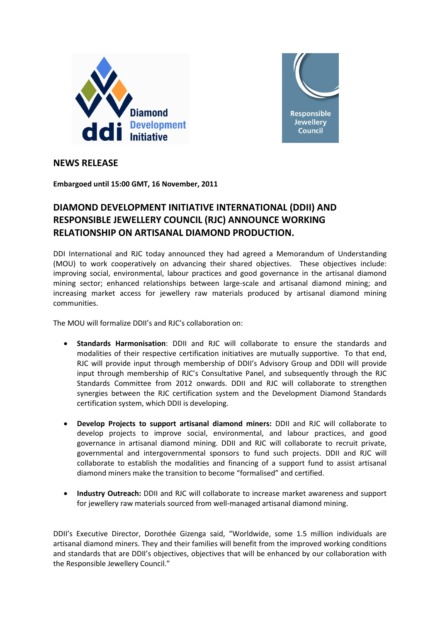



# **NEWS RELEASE**

**Embargoed until 15:00 GMT, 16 November, 2011**

# **DIAMOND DEVELOPMENT INITIATIVE INTERNATIONAL (DDII) AND RESPONSIBLE JEWELLERY COUNCIL (RJC) ANNOUNCE WORKING RELATIONSHIP ON ARTISANAL DIAMOND PRODUCTION.**

DDI International and RJC today announced they had agreed a Memorandum of Understanding (MOU) to work cooperatively on advancing their shared objectives. These objectives include: improving social, environmental, labour practices and good governance in the artisanal diamond mining sector; enhanced relationships between large-scale and artisanal diamond mining; and increasing market access for jewellery raw materials produced by artisanal diamond mining communities.

The MOU will formalize DDII's and RJC's collaboration on:

- **Standards Harmonisation**: DDII and RJC will collaborate to ensure the standards and modalities of their respective certification initiatives are mutually supportive. To that end, RJC will provide input through membership of DDII's Advisory Group and DDII will provide input through membership of RJC's Consultative Panel, and subsequently through the RJC Standards Committee from 2012 onwards. DDII and RJC will collaborate to strengthen synergies between the RJC certification system and the Development Diamond Standards certification system, which DDII is developing.
- **Develop Projects to support artisanal diamond miners:** DDII and RJC will collaborate to develop projects to improve social, environmental, and labour practices, and good governance in artisanal diamond mining. DDII and RJC will collaborate to recruit private, governmental and intergovernmental sponsors to fund such projects. DDII and RJC will collaborate to establish the modalities and financing of a support fund to assist artisanal diamond miners make the transition to become "formalised" and certified.
- **Industry Outreach:** DDII and RJC will collaborate to increase market awareness and support for jewellery raw materials sourced from well-managed artisanal diamond mining.

DDII's Executive Director, Dorothée Gizenga said, "Worldwide, some 1.5 million individuals are artisanal diamond miners. They and their families will benefit from the improved working conditions and standards that are DDII's objectives, objectives that will be enhanced by our collaboration with the Responsible Jewellery Council."